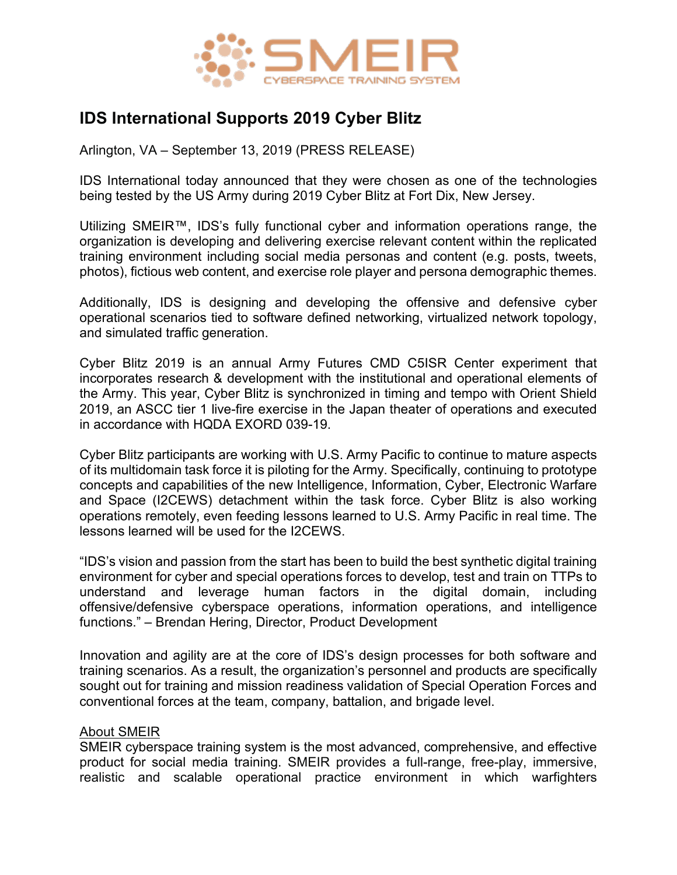

## **IDS International Supports 2019 Cyber Blitz**

Arlington, VA – September 13, 2019 (PRESS RELEASE)

IDS International today announced that they were chosen as one of the technologies being tested by the US Army during 2019 Cyber Blitz at Fort Dix, New Jersey.

Utilizing SMEIR™, IDS's fully functional cyber and information operations range, the organization is developing and delivering exercise relevant content within the replicated training environment including social media personas and content (e.g. posts, tweets, photos), fictious web content, and exercise role player and persona demographic themes.

Additionally, IDS is designing and developing the offensive and defensive cyber operational scenarios tied to software defined networking, virtualized network topology, and simulated traffic generation.

Cyber Blitz 2019 is an annual Army Futures CMD C5ISR Center experiment that incorporates research & development with the institutional and operational elements of the Army. This year, Cyber Blitz is synchronized in timing and tempo with Orient Shield 2019, an ASCC tier 1 live-fire exercise in the Japan theater of operations and executed in accordance with HQDA EXORD 039-19.

Cyber Blitz participants are working with U.S. Army Pacific to continue to mature aspects of its multidomain task force it is piloting for the Army. Specifically, continuing to prototype concepts and capabilities of the new Intelligence, Information, Cyber, Electronic Warfare and Space (I2CEWS) detachment within the task force. Cyber Blitz is also working operations remotely, even feeding lessons learned to U.S. Army Pacific in real time. The lessons learned will be used for the I2CEWS.

"IDS's vision and passion from the start has been to build the best synthetic digital training environment for cyber and special operations forces to develop, test and train on TTPs to understand and leverage human factors in the digital domain, including offensive/defensive cyberspace operations, information operations, and intelligence functions." – Brendan Hering, Director, Product Development

Innovation and agility are at the core of IDS's design processes for both software and training scenarios. As a result, the organization's personnel and products are specifically sought out for training and mission readiness validation of Special Operation Forces and conventional forces at the team, company, battalion, and brigade level.

## About SMEIR

SMEIR cyberspace training system is the most advanced, comprehensive, and effective product for social media training. SMEIR provides a full-range, free-play, immersive, realistic and scalable operational practice environment in which warfighters